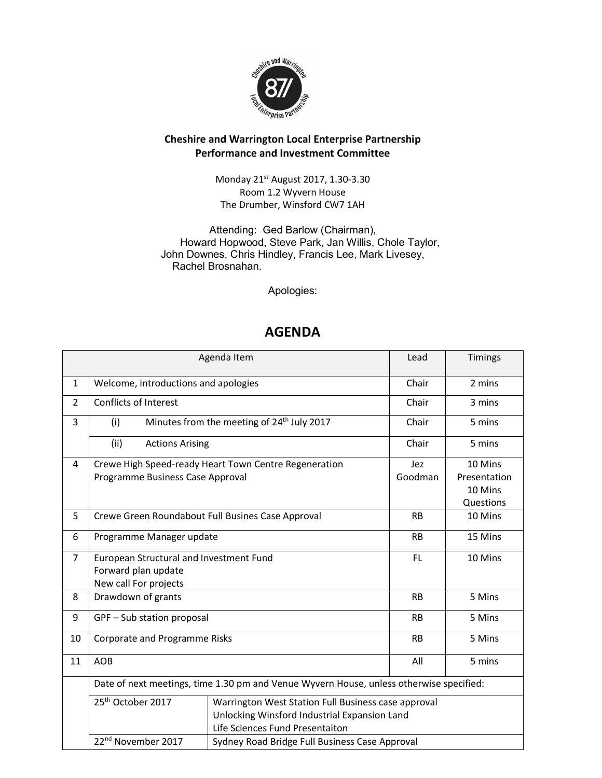

## Cheshire and Warrington Local Enterprise Partnership Performance and Investment Committee

Monday 21st August 2017, 1.30-3.30 Room 1.2 Wyvern House The Drumber, Winsford CW7 1AH

Attending: Ged Barlow (Chairman), Howard Hopwood, Steve Park, Jan Willis, Chole Taylor, John Downes, Chris Hindley, Francis Lee, Mark Livesey, Rachel Brosnahan.

Apologies:

## AGENDA

| Agenda Item    |                                                                                         |                                                        |           | Timings      |
|----------------|-----------------------------------------------------------------------------------------|--------------------------------------------------------|-----------|--------------|
| $\mathbf{1}$   | Welcome, introductions and apologies                                                    | Chair                                                  | 2 mins    |              |
| $\overline{2}$ | <b>Conflicts of Interest</b>                                                            |                                                        | Chair     | 3 mins       |
| 3              | (i)                                                                                     | Minutes from the meeting of 24 <sup>th</sup> July 2017 | Chair     | 5 mins       |
|                | (ii)<br><b>Actions Arising</b>                                                          |                                                        | Chair     | 5 mins       |
| 4              | Crewe High Speed-ready Heart Town Centre Regeneration                                   |                                                        |           | 10 Mins      |
|                | Programme Business Case Approval<br>Goodman                                             |                                                        |           | Presentation |
|                |                                                                                         |                                                        |           | 10 Mins      |
|                |                                                                                         |                                                        |           | Questions    |
| 5              | Crewe Green Roundabout Full Busines Case Approval                                       |                                                        | <b>RB</b> | 10 Mins      |
| 6              | Programme Manager update                                                                |                                                        | <b>RB</b> | 15 Mins      |
| $\overline{7}$ | European Structural and Investment Fund                                                 |                                                        | FL.       | 10 Mins      |
|                | Forward plan update                                                                     |                                                        |           |              |
|                | New call For projects                                                                   |                                                        |           |              |
| 8              | Drawdown of grants                                                                      |                                                        | <b>RB</b> | 5 Mins       |
| 9              | GPF - Sub station proposal                                                              |                                                        | <b>RB</b> | 5 Mins       |
| 10             | Corporate and Programme Risks                                                           |                                                        | <b>RB</b> | 5 Mins       |
| 11             | <b>AOB</b>                                                                              |                                                        | All       | 5 mins       |
|                | Date of next meetings, time 1.30 pm and Venue Wyvern House, unless otherwise specified: |                                                        |           |              |
|                | 25 <sup>th</sup> October 2017<br>Warrington West Station Full Business case approval    |                                                        |           |              |
|                |                                                                                         | Unlocking Winsford Industrial Expansion Land           |           |              |
|                |                                                                                         | Life Sciences Fund Presentaiton                        |           |              |
|                | 22 <sup>nd</sup> November 2017<br>Sydney Road Bridge Full Business Case Approval        |                                                        |           |              |